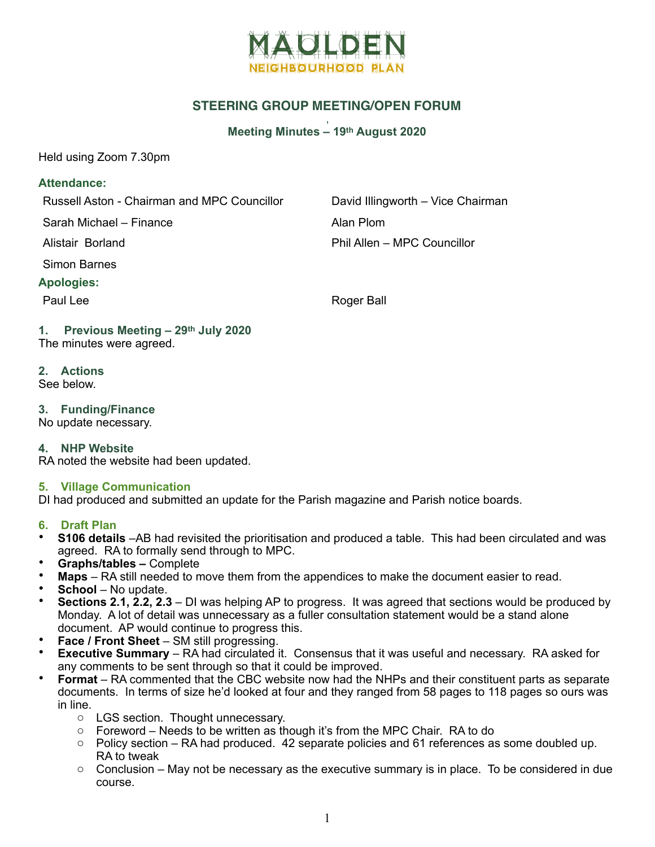

# **STEERING GROUP MEETING/OPEN FORUM**

#### , **Meeting Minutes – 19th August 2020**

Held using Zoom 7.30pm

#### **Attendance:**

Russell Aston - Chairman and MPC Councillor David Illingworth – Vice Chairman

Sarah Michael – Finance **Alan Plom** 

Simon Barnes

### **Apologies:**

Alistair Borland Phil Allen – MPC Councillor

Paul Lee Roger Ball

#### **1. Previous Meeting – 29th July 2020**  The minutes were agreed.

- **2. Actions**  See below.
- **3. Funding/Finance**

No update necessary.

### **4. NHP Website**

RA noted the website had been updated.

### **5. Village Communication**

DI had produced and submitted an update for the Parish magazine and Parish notice boards.

### **6. Draft Plan**

- **S106 details** –AB had revisited the prioritisation and produced a table. This had been circulated and was agreed. RA to formally send through to MPC.
- **Graphs/tables –** Complete
- **Maps** RA still needed to move them from the appendices to make the document easier to read.
- **School**  No update.
- **Sections 2.1, 2.2, 2.3**  DI was helping AP to progress. It was agreed that sections would be produced by Monday. A lot of detail was unnecessary as a fuller consultation statement would be a stand alone document. AP would continue to progress this.
- **Face / Front Sheet SM still progressing.**
- **Executive Summary**  RA had circulated it. Consensus that it was useful and necessary. RA asked for any comments to be sent through so that it could be improved.
- **Format** RA commented that the CBC website now had the NHPs and their constituent parts as separate documents. In terms of size he'd looked at four and they ranged from 58 pages to 118 pages so ours was in line.
	- o LGS section. Thought unnecessary.
	- $\circ$  Foreword Needs to be written as though it's from the MPC Chair. RA to do
	- $\circ$  Policy section RA had produced. 42 separate policies and 61 references as some doubled up. RA to tweak
	- $\circ$  Conclusion May not be necessary as the executive summary is in place. To be considered in due course.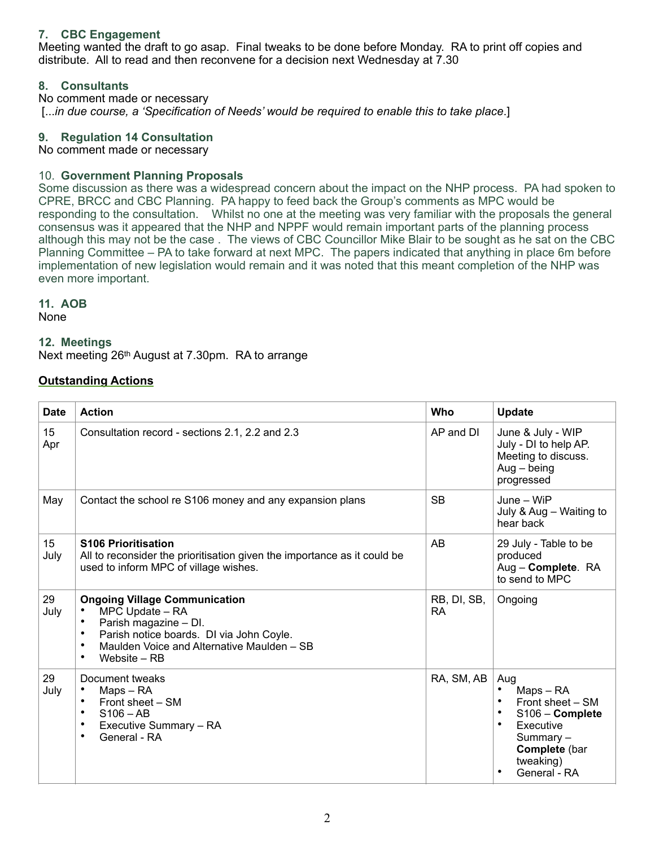## **7. CBC Engagement**

Meeting wanted the draft to go asap. Final tweaks to be done before Monday. RA to print off copies and distribute. All to read and then reconvene for a decision next Wednesday at 7.30

### **8. Consultants**

No comment made or necessary [...*in due course, a 'Specification of Needs' would be required to enable this to take place*.]

#### **9. Regulation 14 Consultation**

No comment made or necessary

#### 10. **Government Planning Proposals**

Some discussion as there was a widespread concern about the impact on the NHP process. PA had spoken to CPRE, BRCC and CBC Planning. PA happy to feed back the Group's comments as MPC would be responding to the consultation. Whilst no one at the meeting was very familiar with the proposals the general consensus was it appeared that the NHP and NPPF would remain important parts of the planning process although this may not be the case . The views of CBC Councillor Mike Blair to be sought as he sat on the CBC Planning Committee – PA to take forward at next MPC. The papers indicated that anything in place 6m before implementation of new legislation would remain and it was noted that this meant completion of the NHP was even more important.

#### **11. AOB**

None

#### **12. Meetings**

Next meeting 26th August at 7.30pm. RA to arrange

## **Outstanding Actions**

| <b>Date</b> | <b>Action</b>                                                                                                                                                                                                                          | Who                      | <b>Update</b>                                                                                                                  |
|-------------|----------------------------------------------------------------------------------------------------------------------------------------------------------------------------------------------------------------------------------------|--------------------------|--------------------------------------------------------------------------------------------------------------------------------|
| 15<br>Apr   | Consultation record - sections 2.1, 2.2 and 2.3                                                                                                                                                                                        | AP and DI                | June & July - WIP<br>July - DI to help AP.<br>Meeting to discuss.<br>$Aug - being$<br>progressed                               |
| May         | Contact the school re S106 money and any expansion plans                                                                                                                                                                               | <b>SB</b>                | June - WiP<br>July & Aug - Waiting to<br>hear back                                                                             |
| 15<br>July  | <b>S106 Prioritisation</b><br>All to reconsider the prioritisation given the importance as it could be<br>used to inform MPC of village wishes.                                                                                        | AB                       | 29 July - Table to be<br>produced<br>Aug - Complete. RA<br>to send to MPC                                                      |
| 29<br>July  | <b>Ongoing Village Communication</b><br>MPC Update - RA<br>Parish magazine - DI.<br>$\bullet$<br>Parish notice boards. DI via John Coyle.<br>$\bullet$<br>Maulden Voice and Alternative Maulden - SB<br>$\bullet$<br>Website – RB<br>٠ | RB, DI, SB,<br><b>RA</b> | Ongoing                                                                                                                        |
| 29<br>July  | Document tweaks<br>Maps - RA<br>$\bullet$<br>Front sheet - SM<br>$S106 - AB$<br>$\bullet$<br>Executive Summary - RA<br>$\bullet$<br>General - RA<br>٠                                                                                  | RA, SM, AB               | Aug<br>Maps - RA<br>Front sheet - SM<br>S106 - Complete<br>Executive<br>Summary-<br>Complete (bar<br>tweaking)<br>General - RA |